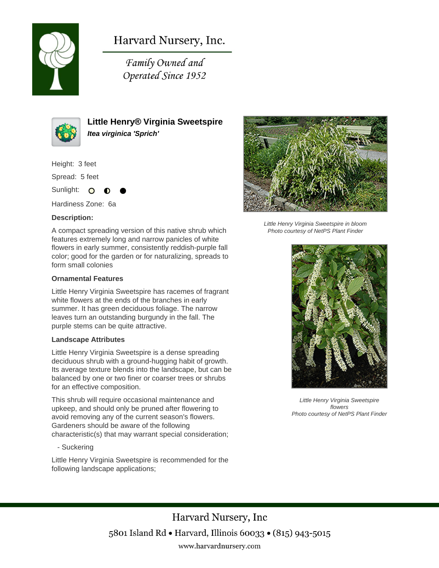

# Harvard Nursery, Inc.

Family Owned and Operated Since 1952



**Little Henry® Virginia Sweetspire Itea virginica 'Sprich'**

Height: 3 feet

Spread: 5 feet

Sunlight: O

Hardiness Zone: 6a

#### **Description:**

A compact spreading version of this native shrub which features extremely long and narrow panicles of white flowers in early summer, consistently reddish-purple fall color; good for the garden or for naturalizing, spreads to form small colonies

#### **Ornamental Features**

Little Henry Virginia Sweetspire has racemes of fragrant white flowers at the ends of the branches in early summer. It has green deciduous foliage. The narrow leaves turn an outstanding burgundy in the fall. The purple stems can be quite attractive.

#### **Landscape Attributes**

Little Henry Virginia Sweetspire is a dense spreading deciduous shrub with a ground-hugging habit of growth. Its average texture blends into the landscape, but can be balanced by one or two finer or coarser trees or shrubs for an effective composition.

This shrub will require occasional maintenance and upkeep, and should only be pruned after flowering to avoid removing any of the current season's flowers. Gardeners should be aware of the following characteristic(s) that may warrant special consideration;

- Suckering

Little Henry Virginia Sweetspire is recommended for the following landscape applications;



Little Henry Virginia Sweetspire in bloom Photo courtesy of NetPS Plant Finder



Little Henry Virginia Sweetspire flowers Photo courtesy of NetPS Plant Finder

Harvard Nursery, Inc 5801 Island Rd • Harvard, Illinois 60033 • (815) 943-5015 www.harvardnursery.com